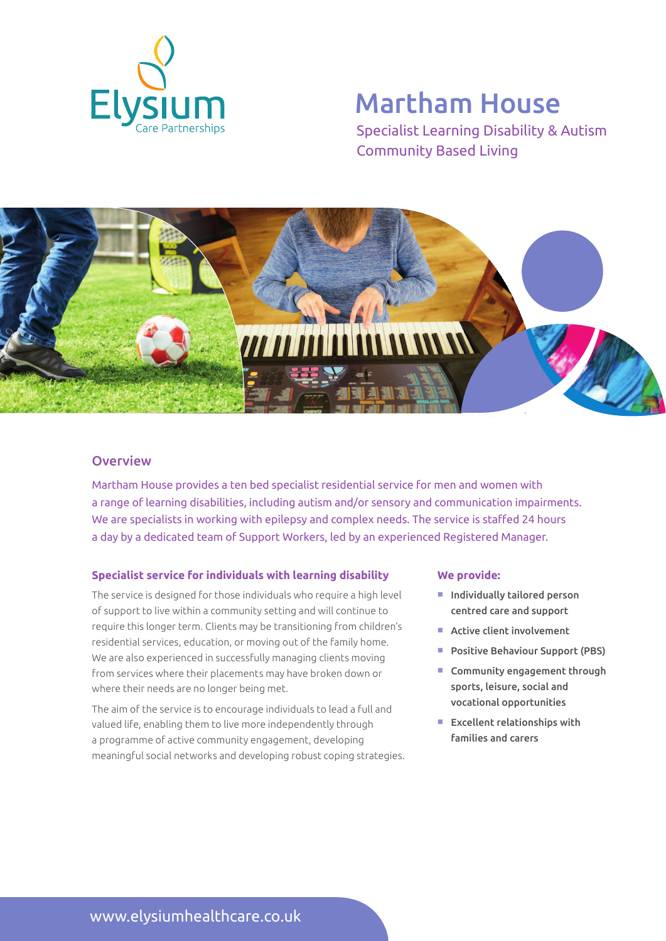

# Martham House

Specialist Learning Disability & Autism Community Based Living



### **Overview**

Martham House provides a ten bed specialist residential service for men and women with a range of learning disabilities, including autism and/or sensory and communication impairments. We are specialists in working with epilepsy and complex needs. The service is staffed 24 hours a day by a dedicated team of Support Workers, led by an experienced Registered Manager.

#### **Specialist service for individuals with learning disability**

The service is designed for those individuals who require a high level of support to live within a community setting and will continue to require this longer term. Clients may be transitioning from children's residential services, education, or moving out of the family home. We are also experienced in successfully managing clients moving from services where their placements may have broken down or where their needs are no longer being met.

The aim of the service is to encourage individuals to lead a full and valued life, enabling them to live more independently through a programme of active community engagement, developing meaningful social networks and developing robust coping strategies.

#### **We provide:**

- $\blacksquare$  Individually tailored person centred care and support
- $\blacksquare$  Active client involvement
- **Positive Behaviour Support (PBS)**
- $\blacksquare$  Community engagement through sports, leisure, social and vocational opportunities
- $E$  Excellent relationships with families and carers